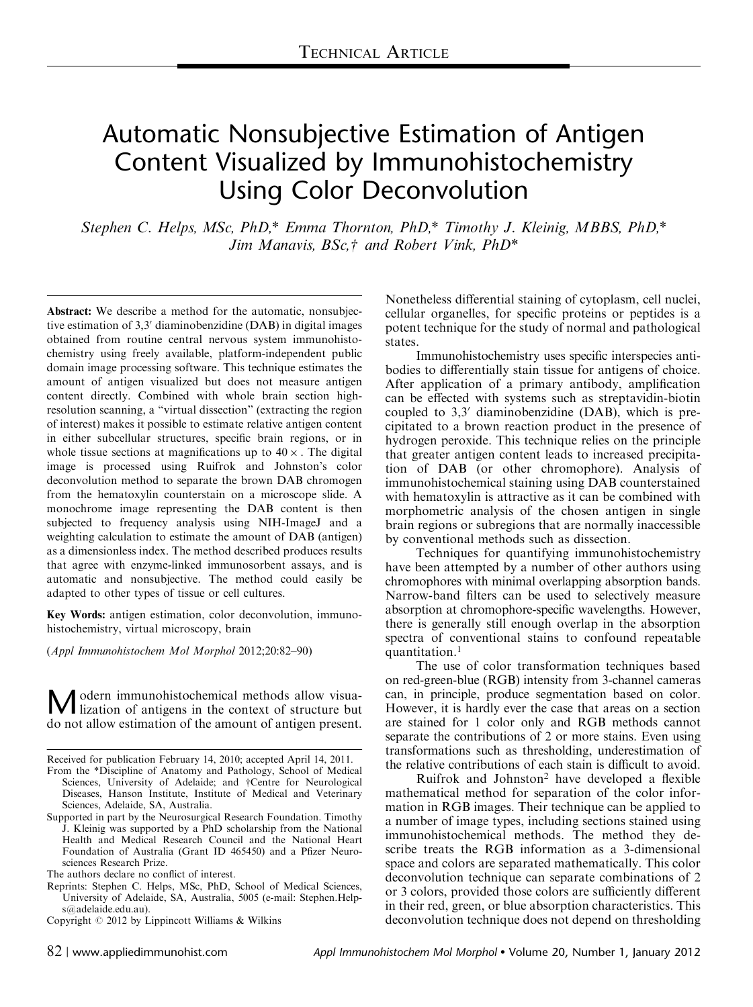# Automatic Nonsubjective Estimation of Antigen Content Visualized by Immunohistochemistry Using Color Deconvolution

Stephen C. Helps, MSc, PhD,\* Emma Thornton, PhD,\* Timothy J. Kleinig, MBBS, PhD,\* Jim Manavis,  $BSc$ ,  $\dagger$  and Robert Vink, PhD\*

Abstract: We describe a method for the automatic, nonsubjective estimation of  $3.3'$  diaminobenzidine (DAB) in digital images obtained from routine central nervous system immunohistochemistry using freely available, platform-independent public domain image processing software. This technique estimates the amount of antigen visualized but does not measure antigen content directly. Combined with whole brain section highresolution scanning, a "virtual dissection" (extracting the region of interest) makes it possible to estimate relative antigen content in either subcellular structures, specific brain regions, or in whole tissue sections at magnifications up to  $40 \times$ . The digital image is processed using Ruifrok and Johnston's color deconvolution method to separate the brown DAB chromogen from the hematoxylin counterstain on a microscope slide. A monochrome image representing the DAB content is then subjected to frequency analysis using NIH-ImageJ and a weighting calculation to estimate the amount of DAB (antigen) as a dimensionless index. The method described produces results that agree with enzyme-linked immunosorbent assays, and is automatic and nonsubjective. The method could easily be adapted to other types of tissue or cell cultures.

Key Words: antigen estimation, color deconvolution, immunohistochemistry, virtual microscopy, brain

(Appl Immunohistochem Mol Morphol 2012;20:82–90)

Modern immunohistochemical methods allow visua-<br>lization of antigens in the context of structure but do not allow estimation of the amount of antigen present.

The authors declare no conflict of interest.

Nonetheless differential staining of cytoplasm, cell nuclei, cellular organelles, for specific proteins or peptides is a potent technique for the study of normal and pathological states.

Immunohistochemistry uses specific interspecies antibodies to differentially stain tissue for antigens of choice. After application of a primary antibody, amplification can be effected with systems such as streptavidin-biotin coupled to  $3.3'$  diaminobenzidine (DAB), which is precipitated to a brown reaction product in the presence of hydrogen peroxide. This technique relies on the principle that greater antigen content leads to increased precipitation of DAB (or other chromophore). Analysis of immunohistochemical staining using DAB counterstained with hematoxylin is attractive as it can be combined with morphometric analysis of the chosen antigen in single brain regions or subregions that are normally inaccessible by conventional methods such as dissection.

Techniques for quantifying immunohistochemistry have been attempted by a number of other authors using chromophores with minimal overlapping absorption bands. Narrow-band filters can be used to selectively measure absorption at chromophore-specific wavelengths. However, there is generally still enough overlap in the absorption spectra of conventional stains to confound repeatable quantitation.[1](#page-8-0)

The use of color transformation techniques based on red-green-blue (RGB) intensity from 3-channel cameras can, in principle, produce segmentation based on color. However, it is hardly ever the case that areas on a section are stained for 1 color only and RGB methods cannot separate the contributions of 2 or more stains. Even using transformations such as thresholding, underestimation of the relative contributions of each stain is difficult to avoid.

Ruifrok and Johnston[2](#page-8-0) have developed a flexible mathematical method for separation of the color information in RGB images. Their technique can be applied to a number of image types, including sections stained using immunohistochemical methods. The method they describe treats the RGB information as a 3-dimensional space and colors are separated mathematically. This color deconvolution technique can separate combinations of 2 or 3 colors, provided those colors are sufficiently different in their red, green, or blue absorption characteristics. This Copyright © 2012 by Lippincott Williams & Wilkins deconvolution technique does not depend on thresholding

Received for publication February 14, 2010; accepted April 14, 2011.

From the \*Discipline of Anatomy and Pathology, School of Medical Sciences, University of Adelaide; and †Centre for Neurological Diseases, Hanson Institute, Institute of Medical and Veterinary Sciences, Adelaide, SA, Australia.

Supported in part by the Neurosurgical Research Foundation. Timothy J. Kleinig was supported by a PhD scholarship from the National Health and Medical Research Council and the National Heart Foundation of Australia (Grant ID 465450) and a Pfizer Neurosciences Research Prize.

Reprints: Stephen C. Helps, MSc, PhD, School of Medical Sciences, University of Adelaide, SA, Australia, 5005 (e-mail: Stephen.Helps@adelaide.edu.au).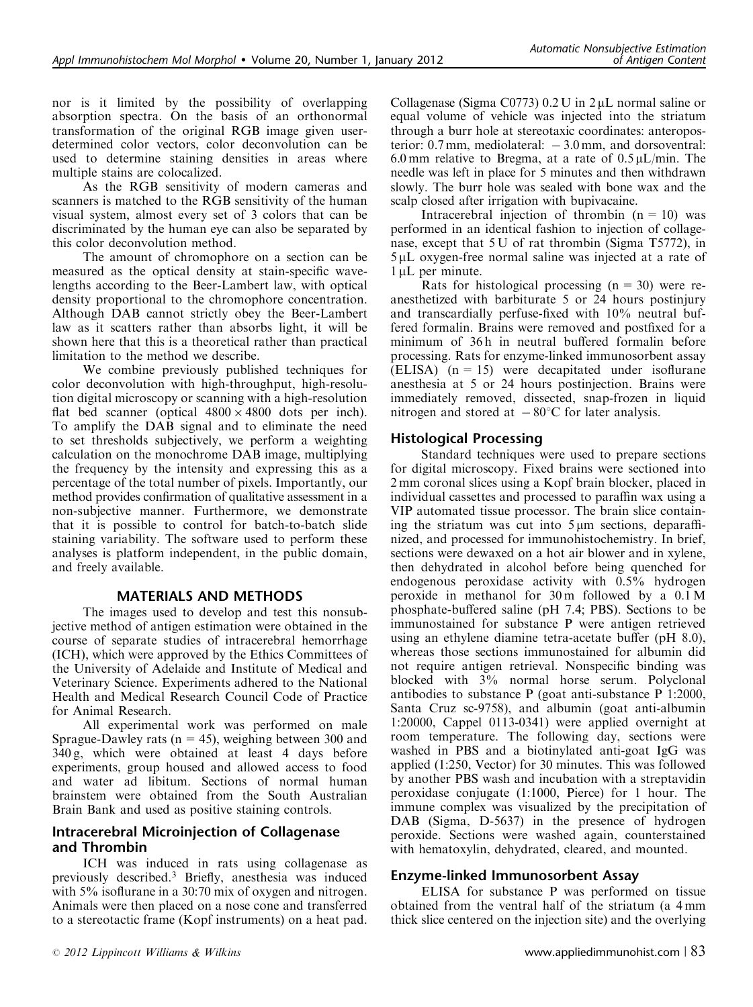nor is it limited by the possibility of overlapping absorption spectra. On the basis of an orthonormal transformation of the original RGB image given userdetermined color vectors, color deconvolution can be used to determine staining densities in areas where multiple stains are colocalized.

As the RGB sensitivity of modern cameras and scanners is matched to the RGB sensitivity of the human visual system, almost every set of 3 colors that can be discriminated by the human eye can also be separated by this color deconvolution method.

The amount of chromophore on a section can be measured as the optical density at stain-specific wavelengths according to the Beer-Lambert law, with optical density proportional to the chromophore concentration. Although DAB cannot strictly obey the Beer-Lambert law as it scatters rather than absorbs light, it will be shown here that this is a theoretical rather than practical limitation to the method we describe.

We combine previously published techniques for color deconvolution with high-throughput, high-resolution digital microscopy or scanning with a high-resolution flat bed scanner (optical  $4800 \times 4800$  dots per inch). To amplify the DAB signal and to eliminate the need to set thresholds subjectively, we perform a weighting calculation on the monochrome DAB image, multiplying the frequency by the intensity and expressing this as a percentage of the total number of pixels. Importantly, our method provides confirmation of qualitative assessment in a non-subjective manner. Furthermore, we demonstrate that it is possible to control for batch-to-batch slide staining variability. The software used to perform these analyses is platform independent, in the public domain, and freely available.

#### MATERIALS AND METHODS

The images used to develop and test this nonsubjective method of antigen estimation were obtained in the course of separate studies of intracerebral hemorrhage (ICH), which were approved by the Ethics Committees of the University of Adelaide and Institute of Medical and Veterinary Science. Experiments adhered to the National Health and Medical Research Council Code of Practice for Animal Research.

All experimental work was performed on male Sprague-Dawley rats ( $n = 45$ ), weighing between 300 and 340 g, which were obtained at least 4 days before experiments, group housed and allowed access to food and water ad libitum. Sections of normal human brainstem were obtained from the South Australian Brain Bank and used as positive staining controls.

# Intracerebral Microinjection of Collagenase and Thrombin

ICH was induced in rats using collagenase as previously described.[3](#page-8-0) Briefly, anesthesia was induced with 5% isoflurane in a 30:70 mix of oxygen and nitrogen. Animals were then placed on a nose cone and transferred to a stereotactic frame (Kopf instruments) on a heat pad.

Collagenase (Sigma C0773)  $0.2$  U in  $2 \mu$ L normal saline or equal volume of vehicle was injected into the striatum through a burr hole at stereotaxic coordinates: anteroposterior: 0.7 mm, mediolateral:  $-3.0$  mm, and dorsoventral: 6.0 mm relative to Bregma, at a rate of  $0.5 \mu L/min$ . The needle was left in place for 5 minutes and then withdrawn slowly. The burr hole was sealed with bone wax and the scalp closed after irrigation with bupivacaine.

Intracerebral injection of thrombin  $(n = 10)$  was performed in an identical fashion to injection of collagenase, except that 5 U of rat thrombin (Sigma T5772), in  $5 \mu L$  oxygen-free normal saline was injected at a rate of  $1 \mu L$  per minute.

Rats for histological processing  $(n = 30)$  were reanesthetized with barbiturate 5 or 24 hours postinjury and transcardially perfuse-fixed with 10% neutral buffered formalin. Brains were removed and postfixed for a minimum of 36 h in neutral buffered formalin before processing. Rats for enzyme-linked immunosorbent assay  $(ELISA)$   $(n = 15)$  were decapitated under isoflurane anesthesia at 5 or 24 hours postinjection. Brains were immediately removed, dissected, snap-frozen in liquid nitrogen and stored at  $-80^{\circ}$ C for later analysis.

# Histological Processing

Standard techniques were used to prepare sections for digital microscopy. Fixed brains were sectioned into 2 mm coronal slices using a Kopf brain blocker, placed in individual cassettes and processed to paraffin wax using a VIP automated tissue processor. The brain slice containing the striatum was cut into  $5 \mu m$  sections, deparaffinized, and processed for immunohistochemistry. In brief, sections were dewaxed on a hot air blower and in xylene, then dehydrated in alcohol before being quenched for endogenous peroxidase activity with 0.5% hydrogen peroxide in methanol for 30 m followed by a 0.1 M phosphate-buffered saline (pH 7.4; PBS). Sections to be immunostained for substance P were antigen retrieved using an ethylene diamine tetra-acetate buffer (pH 8.0), whereas those sections immunostained for albumin did not require antigen retrieval. Nonspecific binding was blocked with 3% normal horse serum. Polyclonal antibodies to substance P (goat anti-substance P 1:2000, Santa Cruz sc-9758), and albumin (goat anti-albumin 1:20000, Cappel 0113-0341) were applied overnight at room temperature. The following day, sections were washed in PBS and a biotinylated anti-goat IgG was applied (1:250, Vector) for 30 minutes. This was followed by another PBS wash and incubation with a streptavidin peroxidase conjugate (1:1000, Pierce) for 1 hour. The immune complex was visualized by the precipitation of DAB (Sigma, D-5637) in the presence of hydrogen peroxide. Sections were washed again, counterstained with hematoxylin, dehydrated, cleared, and mounted.

# Enzyme-linked Immunosorbent Assay

ELISA for substance P was performed on tissue obtained from the ventral half of the striatum (a 4 mm thick slice centered on the injection site) and the overlying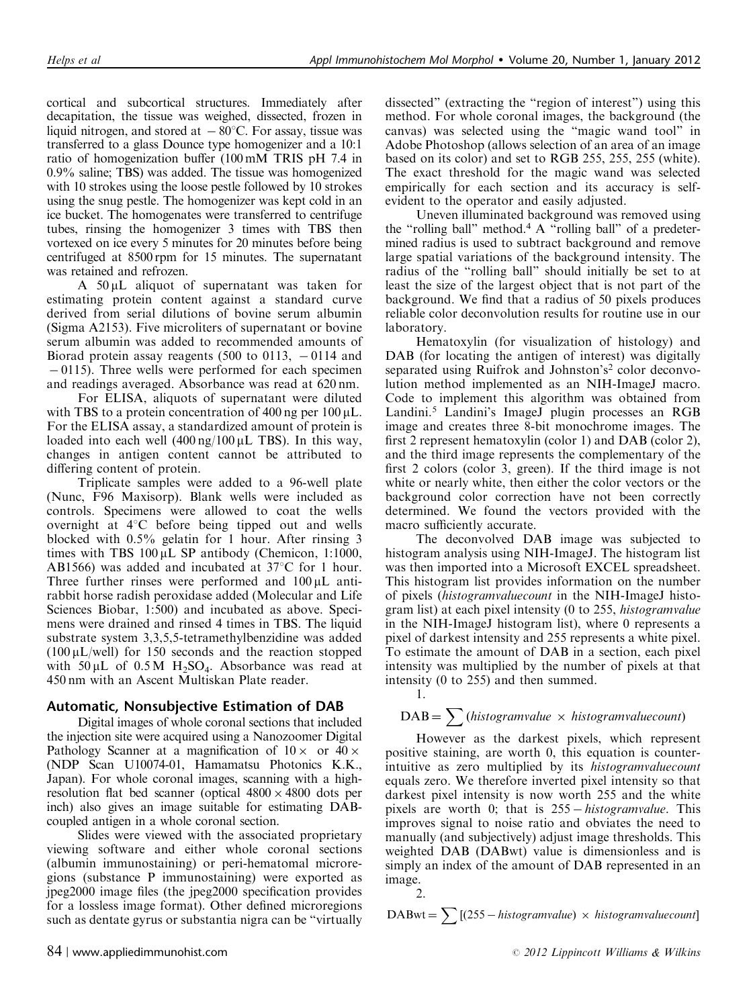cortical and subcortical structures. Immediately after decapitation, the tissue was weighed, dissected, frozen in liquid nitrogen, and stored at  $-80^{\circ}$ C. For assay, tissue was transferred to a glass Dounce type homogenizer and a 10:1 ratio of homogenization buffer (100 mM TRIS pH 7.4 in 0.9% saline; TBS) was added. The tissue was homogenized with 10 strokes using the loose pestle followed by 10 strokes using the snug pestle. The homogenizer was kept cold in an ice bucket. The homogenates were transferred to centrifuge tubes, rinsing the homogenizer 3 times with TBS then vortexed on ice every 5 minutes for 20 minutes before being centrifuged at 8500 rpm for 15 minutes. The supernatant was retained and refrozen.

A  $50 \mu L$  aliquot of supernatant was taken for estimating protein content against a standard curve derived from serial dilutions of bovine serum albumin (Sigma A2153). Five microliters of supernatant or bovine serum albumin was added to recommended amounts of Biorad protein assay reagents (500 to 0113,  $-0114$  and  $-0115$ ). Three wells were performed for each specimen and readings averaged. Absorbance was read at 620 nm.

For ELISA, aliquots of supernatant were diluted with TBS to a protein concentration of  $400$  ng per  $100 \mu L$ . For the ELISA assay, a standardized amount of protein is loaded into each well  $(400 \text{ ng}/100 \mu L \text{ TBS})$ . In this way, changes in antigen content cannot be attributed to differing content of protein.

Triplicate samples were added to a 96-well plate (Nunc, F96 Maxisorp). Blank wells were included as controls. Specimens were allowed to coat the wells overnight at  $4^{\circ}$ C before being tipped out and wells blocked with 0.5% gelatin for 1 hour. After rinsing 3 times with TBS  $100 \mu L$  SP antibody (Chemicon, 1:1000, AB1566) was added and incubated at  $37^{\circ}$ C for 1 hour. Three further rinses were performed and  $100 \mu L$  antirabbit horse radish peroxidase added (Molecular and Life Sciences Biobar, 1:500) and incubated as above. Specimens were drained and rinsed 4 times in TBS. The liquid substrate system 3,3,5,5-tetramethylbenzidine was added  $(100 \,\mu L/well)$  for 150 seconds and the reaction stopped with  $50 \mu L$  of  $0.5 M H_2SO_4$ . Absorbance was read at 450 nm with an Ascent Multiskan Plate reader.

# Automatic, Nonsubjective Estimation of DAB

Digital images of whole coronal sections that included the injection site were acquired using a Nanozoomer Digital Pathology Scanner at a magnification of  $10 \times$  or  $40 \times$ (NDP Scan U10074-01, Hamamatsu Photonics K.K., Japan). For whole coronal images, scanning with a highresolution flat bed scanner (optical  $4800 \times 4800$  dots per inch) also gives an image suitable for estimating DABcoupled antigen in a whole coronal section.

Slides were viewed with the associated proprietary viewing software and either whole coronal sections (albumin immunostaining) or peri-hematomal microregions (substance P immunostaining) were exported as jpeg2000 image files (the jpeg2000 specification provides for a lossless image format). Other defined microregions such as dentate gyrus or substantia nigra can be "virtually

dissected" (extracting the "region of interest") using this method. For whole coronal images, the background (the canvas) was selected using the "magic wand tool" in Adobe Photoshop (allows selection of an area of an image based on its color) and set to RGB 255, 255, 255 (white). The exact threshold for the magic wand was selected empirically for each section and its accuracy is selfevident to the operator and easily adjusted.

Uneven illuminated background was removed using the "rolling ball" method[.4](#page-8-0) A "rolling ball" of a predetermined radius is used to subtract background and remove large spatial variations of the background intensity. The radius of the "rolling ball" should initially be set to at least the size of the largest object that is not part of the background. We find that a radius of 50 pixels produces reliable color deconvolution results for routine use in our laboratory.

Hematoxylin (for visualization of histology) and DAB (for locating the antigen of interest) was digitally separated using Ruifrok and Johnston's<sup>[2](#page-8-0)</sup> color deconvolution method implemented as an NIH-ImageJ macro. Code to implement this algorithm was obtained from Landini.[5](#page-8-0) Landini's ImageJ plugin processes an RGB image and creates three 8-bit monochrome images. The first 2 represent hematoxylin (color 1) and DAB (color 2), and the third image represents the complementary of the first 2 colors (color 3, green). If the third image is not white or nearly white, then either the color vectors or the background color correction have not been correctly determined. We found the vectors provided with the macro sufficiently accurate.

The deconvolved DAB image was subjected to histogram analysis using NIH-ImageJ. The histogram list was then imported into a Microsoft EXCEL spreadsheet. This histogram list provides information on the number of pixels (histogramvaluecount in the NIH-ImageJ histogram list) at each pixel intensity (0 to 255, histogramvalue in the NIH-ImageJ histogram list), where 0 represents a pixel of darkest intensity and 255 represents a white pixel. To estimate the amount of DAB in a section, each pixel intensity was multiplied by the number of pixels at that intensity (0 to 255) and then summed.



# $\text{DAB} = \sum_{k}$  (histogramvalue  $\times$  histogramvaluecount)

However as the darkest pixels, which represent positive staining, are worth 0, this equation is counterintuitive as zero multiplied by its histogramvaluecount equals zero. We therefore inverted pixel intensity so that darkest pixel intensity is now worth 255 and the white pixels are worth 0; that is  $255 - histogramvalue$ . This improves signal to noise ratio and obviates the need to manually (and subjectively) adjust image thresholds. This weighted DAB (DABwt) value is dimensionless and is simply an index of the amount of DAB represented in an image.

2.

 $DABwt = \sum [(255 - histogramvalue) \times histogramvaluecount]$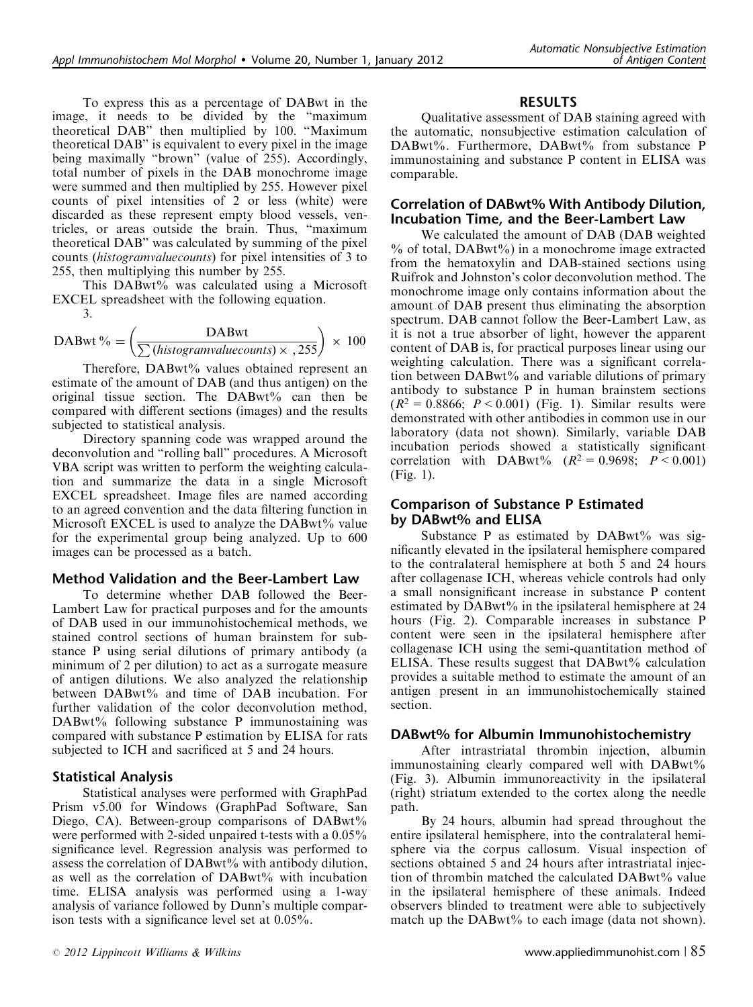To express this as a percentage of DABwt in the image, it needs to be divided by the "maximum theoretical DAB" then multiplied by 100. "Maximum theoretical DAB" is equivalent to every pixel in the image being maximally "brown" (value of 255). Accordingly, total number of pixels in the DAB monochrome image were summed and then multiplied by 255. However pixel counts of pixel intensities of 2 or less (white) were discarded as these represent empty blood vessels, ventricles, or areas outside the brain. Thus, "maximum theoretical DAB" was calculated by summing of the pixel counts (histogramvaluecounts) for pixel intensities of 3 to 255, then multiplying this number by 255.

This DABwt% was calculated using a Microsoft EXCEL spreadsheet with the following equation.

3.

$$
DABwt\% = \left(\frac{DABwt}{\sum (histogram valuecounts) \times .255}\right) \times 100
$$

Therefore, DABwt% values obtained represent an estimate of the amount of DAB (and thus antigen) on the original tissue section. The DABwt% can then be compared with different sections (images) and the results subjected to statistical analysis.

Directory spanning code was wrapped around the deconvolution and "rolling ball" procedures. A Microsoft VBA script was written to perform the weighting calculation and summarize the data in a single Microsoft EXCEL spreadsheet. Image files are named according to an agreed convention and the data filtering function in Microsoft EXCEL is used to analyze the DABwt% value for the experimental group being analyzed. Up to 600 images can be processed as a batch.

#### Method Validation and the Beer-Lambert Law

To determine whether DAB followed the Beer-Lambert Law for practical purposes and for the amounts of DAB used in our immunohistochemical methods, we stained control sections of human brainstem for substance P using serial dilutions of primary antibody (a minimum of 2 per dilution) to act as a surrogate measure of antigen dilutions. We also analyzed the relationship between DABwt% and time of DAB incubation. For further validation of the color deconvolution method, DABwt% following substance P immunostaining was compared with substance P estimation by ELISA for rats subjected to ICH and sacrificed at 5 and 24 hours.

#### Statistical Analysis

Statistical analyses were performed with GraphPad Prism v5.00 for Windows (GraphPad Software, San Diego, CA). Between-group comparisons of DABwt<sup>%</sup> were performed with 2-sided unpaired t-tests with a 0.05% significance level. Regression analysis was performed to assess the correlation of DABwt% with antibody dilution, as well as the correlation of DABwt% with incubation time. ELISA analysis was performed using a 1-way analysis of variance followed by Dunn's multiple comparison tests with a significance level set at 0.05%.

#### RESULTS

Qualitative assessment of DAB staining agreed with the automatic, nonsubjective estimation calculation of DABwt%. Furthermore, DABwt% from substance P immunostaining and substance P content in ELISA was comparable.

#### Correlation of DABwt% With Antibody Dilution, Incubation Time, and the Beer-Lambert Law

We calculated the amount of DAB (DAB weighted  $%$  of total, DABwt $%$ ) in a monochrome image extracted from the hematoxylin and DAB-stained sections using Ruifrok and Johnston's color deconvolution method. The monochrome image only contains information about the amount of DAB present thus eliminating the absorption spectrum. DAB cannot follow the Beer-Lambert Law, as it is not a true absorber of light, however the apparent content of DAB is, for practical purposes linear using our weighting calculation. There was a significant correlation between DABwt% and variable dilutions of primary antibody to substance P in human brainstem sections  $(R^2 = 0.8866; P < 0.001)$  [\(Fig. 1\)](#page-4-0). Similar results were demonstrated with other antibodies in common use in our laboratory (data not shown). Similarly, variable DAB incubation periods showed a statistically significant correlation with DABwt%  $(R^2 = 0.9698; P < 0.001)$ ([Fig. 1](#page-4-0)).

# Comparison of Substance P Estimated by DABwt% and ELISA

Substance P as estimated by  $DABwt\%$  was significantly elevated in the ipsilateral hemisphere compared to the contralateral hemisphere at both 5 and 24 hours after collagenase ICH, whereas vehicle controls had only a small nonsignificant increase in substance P content estimated by DABwt% in the ipsilateral hemisphere at 24 hours [\(Fig. 2](#page-4-0)). Comparable increases in substance P content were seen in the ipsilateral hemisphere after collagenase ICH using the semi-quantitation method of ELISA. These results suggest that DABwt% calculation provides a suitable method to estimate the amount of an antigen present in an immunohistochemically stained section.

#### DABwt% for Albumin Immunohistochemistry

After intrastriatal thrombin injection, albumin immunostaining clearly compared well with DABwt<sup>%</sup> ([Fig. 3](#page-5-0)). Albumin immunoreactivity in the ipsilateral (right) striatum extended to the cortex along the needle path.

By 24 hours, albumin had spread throughout the entire ipsilateral hemisphere, into the contralateral hemisphere via the corpus callosum. Visual inspection of sections obtained 5 and 24 hours after intrastriatal injection of thrombin matched the calculated DABwt% value in the ipsilateral hemisphere of these animals. Indeed observers blinded to treatment were able to subjectively match up the DABwt% to each image (data not shown).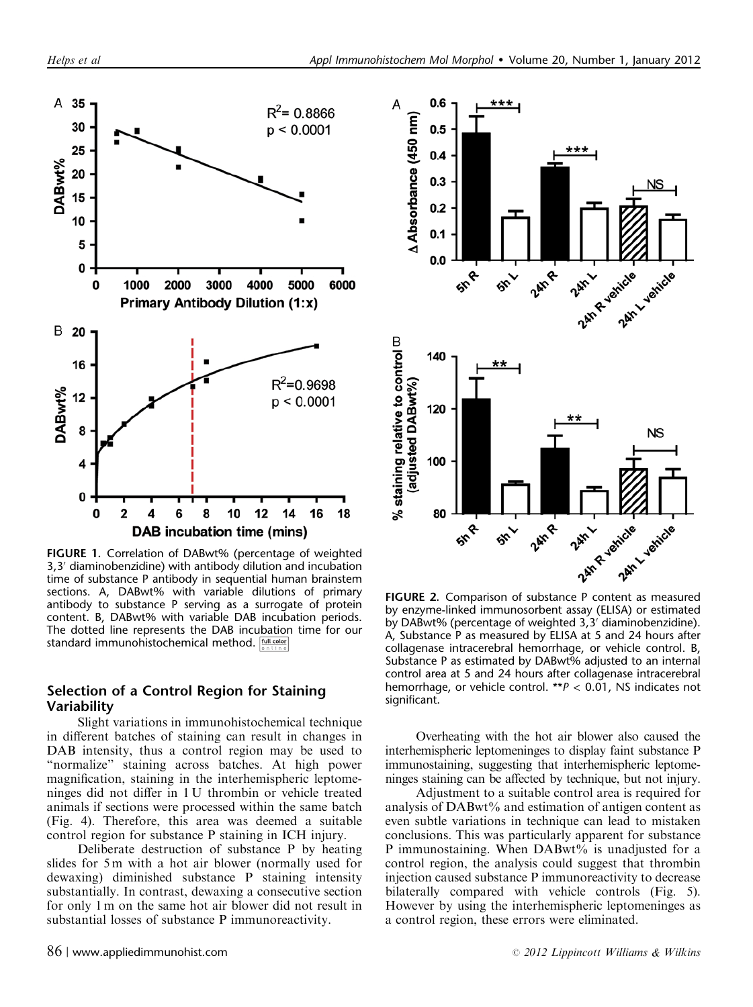<span id="page-4-0"></span>

FIGURE 1. Correlation of DABwt% (percentage of weighted 3,3<sup>'</sup> diaminobenzidine) with antibody dilution and incubation time of substance P antibody in sequential human brainstem sections. A, DABwt% with variable dilutions of primary antibody to substance P serving as a surrogate of protein content. B, DABwt% with variable DAB incubation periods. The dotted line represents the DAB incubation time for our standard immunohistochemical method. **Full color** 

# Selection of a Control Region for Staining Variability

Slight variations in immunohistochemical technique in different batches of staining can result in changes in DAB intensity, thus a control region may be used to "normalize" staining across batches. At high power magnification, staining in the interhemispheric leptomeninges did not differ in 1 U thrombin or vehicle treated animals if sections were processed within the same batch ([Fig. 4\)](#page-6-0). Therefore, this area was deemed a suitable control region for substance P staining in ICH injury.

Deliberate destruction of substance P by heating slides for 5 m with a hot air blower (normally used for dewaxing) diminished substance P staining intensity substantially. In contrast, dewaxing a consecutive section for only 1 m on the same hot air blower did not result in substantial losses of substance P immunoreactivity.



FIGURE 2. Comparison of substance P content as measured by enzyme-linked immunosorbent assay (ELISA) or estimated by DABwt% (percentage of weighted  $3,3'$  diaminobenzidine). A, Substance P as measured by ELISA at 5 and 24 hours after collagenase intracerebral hemorrhage, or vehicle control. B, Substance P as estimated by DABwt% adjusted to an internal control area at 5 and 24 hours after collagenase intracerebral hemorrhage, or vehicle control.  $*P < 0.01$ , NS indicates not significant.

Overheating with the hot air blower also caused the interhemispheric leptomeninges to display faint substance P immunostaining, suggesting that interhemispheric leptomeninges staining can be affected by technique, but not injury.

Adjustment to a suitable control area is required for analysis of DABwt% and estimation of antigen content as even subtle variations in technique can lead to mistaken conclusions. This was particularly apparent for substance P immunostaining. When DABwt% is unadjusted for a control region, the analysis could suggest that thrombin injection caused substance P immunoreactivity to decrease bilaterally compared with vehicle controls ([Fig. 5\)](#page-7-0). However by using the interhemispheric leptomeninges as a control region, these errors were eliminated.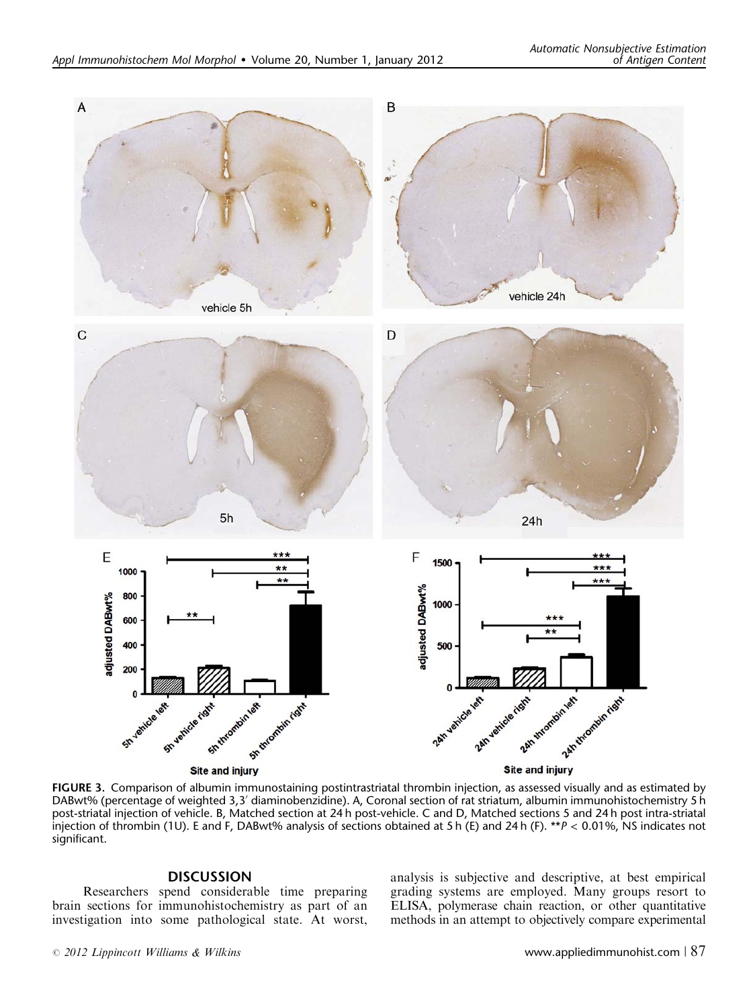<span id="page-5-0"></span>

FIGURE 3. Comparison of albumin immunostaining postintrastriatal thrombin injection, as assessed visually and as estimated by DABwt% (percentage of weighted 3,3' diaminobenzidine). A, Coronal section of rat striatum, albumin immunohistochemistry 5 h post-striatal injection of vehicle. B, Matched section at 24 h post-vehicle. C and D, Matched sections 5 and 24 h post intra-striatal injection of thrombin (1U). E and F, DABwt% analysis of sections obtained at 5 h (E) and 24 h (F). \*\*P < 0.01%, NS indicates not significant.

#### **DISCUSSION**

Researchers spend considerable time preparing brain sections for immunohistochemistry as part of an investigation into some pathological state. At worst,

analysis is subjective and descriptive, at best empirical grading systems are employed. Many groups resort to ELISA, polymerase chain reaction, or other quantitative methods in an attempt to objectively compare experimental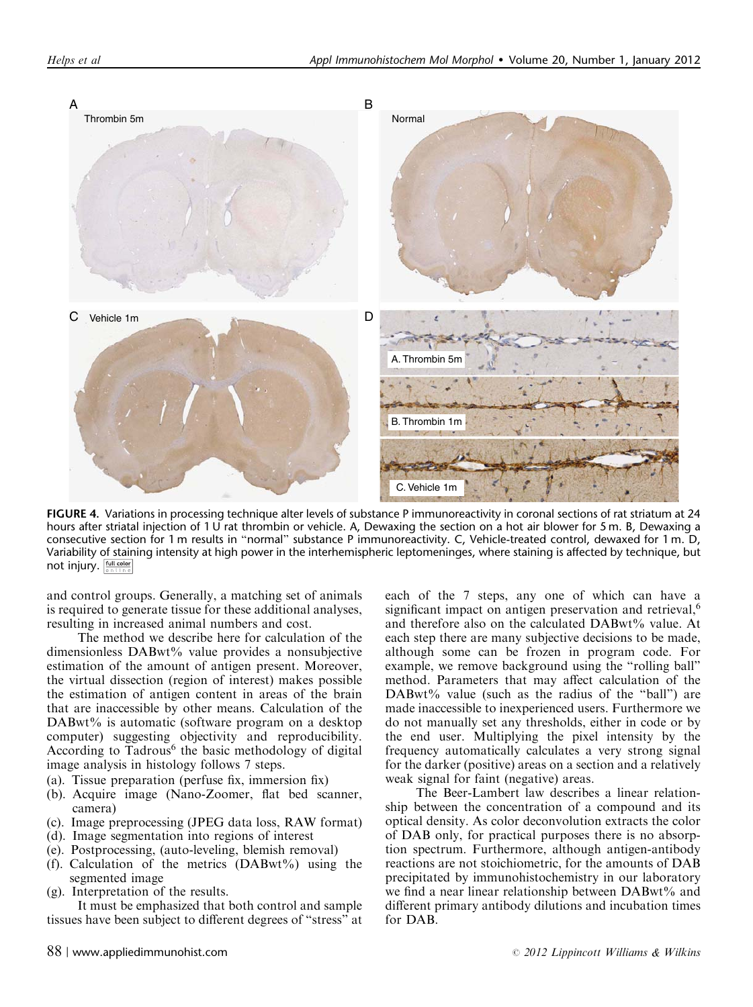<span id="page-6-0"></span>

FIGURE 4. Variations in processing technique alter levels of substance P immunoreactivity in coronal sections of rat striatum at 24 hours after striatal injection of 1 U rat thrombin or vehicle. A, Dewaxing the section on a hot air blower for 5 m. B, Dewaxing a consecutive section for 1 m results in "normal" substance P immunoreactivity. C, Vehicle-treated control, dewaxed for 1 m. D, Variability of staining intensity at high power in the interhemispheric leptomeninges, where staining is affected by technique, but not injury. **Full color** 

and control groups. Generally, a matching set of animals is required to generate tissue for these additional analyses, resulting in increased animal numbers and cost.

The method we describe here for calculation of the dimensionless DABwt% value provides a nonsubjective estimation of the amount of antigen present. Moreover, the virtual dissection (region of interest) makes possible the estimation of antigen content in areas of the brain that are inaccessible by other means. Calculation of the DABwt% is automatic (software program on a desktop computer) suggesting objectivity and reproducibility. According to Tadrous<sup>[6](#page-8-0)</sup> the basic methodology of digital image analysis in histology follows 7 steps.

- (a). Tissue preparation (perfuse fix, immersion fix)
- (b). Acquire image (Nano-Zoomer, flat bed scanner, camera)
- (c). Image preprocessing (JPEG data loss, RAW format)
- (d). Image segmentation into regions of interest
- (e). Postprocessing, (auto-leveling, blemish removal)
- (f). Calculation of the metrics (DABwt%) using the segmented image
- (g). Interpretation of the results.

It must be emphasized that both control and sample tissues have been subject to different degrees of "stress" at each of the 7 steps, any one of which can have a significant impact on antigen preservation and retrieval,<sup>[6](#page-8-0)</sup> and therefore also on the calculated DABwt% value. At each step there are many subjective decisions to be made, although some can be frozen in program code. For example, we remove background using the "rolling ball" method. Parameters that may affect calculation of the DABwt% value (such as the radius of the "ball") are made inaccessible to inexperienced users. Furthermore we do not manually set any thresholds, either in code or by the end user. Multiplying the pixel intensity by the frequency automatically calculates a very strong signal for the darker (positive) areas on a section and a relatively weak signal for faint (negative) areas.

The Beer-Lambert law describes a linear relationship between the concentration of a compound and its optical density. As color deconvolution extracts the color of DAB only, for practical purposes there is no absorption spectrum. Furthermore, although antigen-antibody reactions are not stoichiometric, for the amounts of DAB precipitated by immunohistochemistry in our laboratory we find a near linear relationship between DABwt% and different primary antibody dilutions and incubation times for DAB.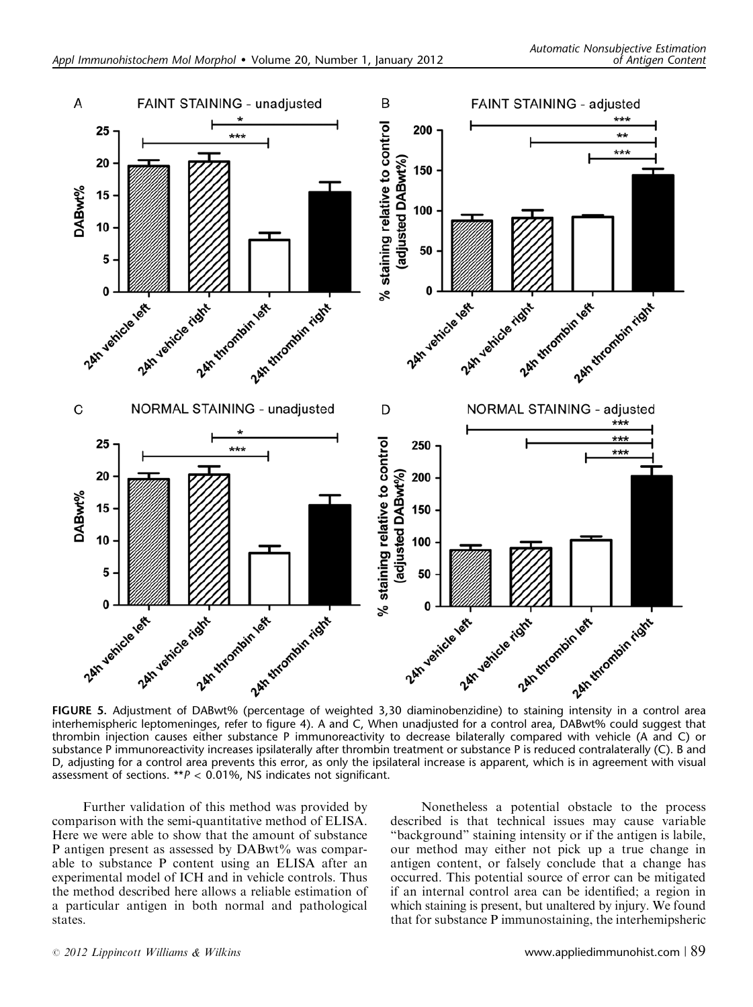<span id="page-7-0"></span>

interhemispheric leptomeninges, refer to figure 4). A and C, When unadjusted for a control area, DABwt% could suggest that thrombin injection causes either substance P immunoreactivity to decrease bilaterally compared with vehicle (A and C) or substance P immunoreactivity increases ipsilaterally after thrombin treatment or substance P is reduced contralaterally (C). B and D, adjusting for a control area prevents this error, as only the ipsilateral increase is apparent, which is in agreement with visual assessment of sections.  $*P < 0.01\%$ , NS indicates not significant.

Further validation of this method was provided by comparison with the semi-quantitative method of ELISA. Here we were able to show that the amount of substance P antigen present as assessed by DABwt% was comparable to substance P content using an ELISA after an experimental model of ICH and in vehicle controls. Thus the method described here allows a reliable estimation of a particular antigen in both normal and pathological states.

Nonetheless a potential obstacle to the process described is that technical issues may cause variable "background" staining intensity or if the antigen is labile, our method may either not pick up a true change in antigen content, or falsely conclude that a change has occurred. This potential source of error can be mitigated if an internal control area can be identified; a region in which staining is present, but unaltered by injury. We found that for substance P immunostaining, the interhemipsheric